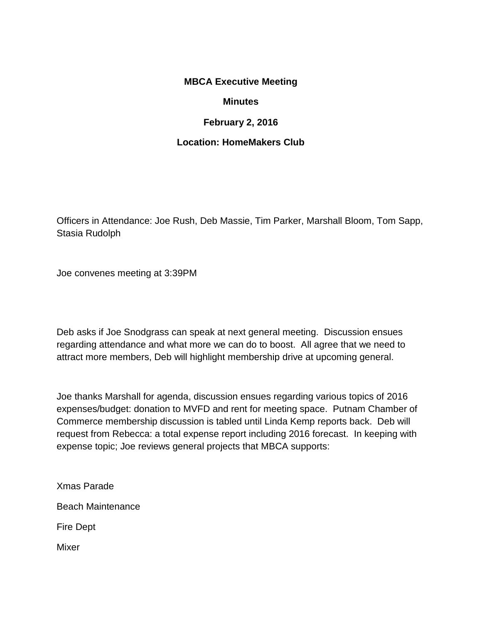## **MBCA Executive Meeting**

## **Minutes**

## **February 2, 2016**

## **Location: HomeMakers Club**

Officers in Attendance: Joe Rush, Deb Massie, Tim Parker, Marshall Bloom, Tom Sapp, Stasia Rudolph

Joe convenes meeting at 3:39PM

Deb asks if Joe Snodgrass can speak at next general meeting. Discussion ensues regarding attendance and what more we can do to boost. All agree that we need to attract more members, Deb will highlight membership drive at upcoming general.

Joe thanks Marshall for agenda, discussion ensues regarding various topics of 2016 expenses/budget: donation to MVFD and rent for meeting space. Putnam Chamber of Commerce membership discussion is tabled until Linda Kemp reports back. Deb will request from Rebecca: a total expense report including 2016 forecast. In keeping with expense topic; Joe reviews general projects that MBCA supports:

Xmas Parade

Beach Maintenance

Fire Dept

Mixer